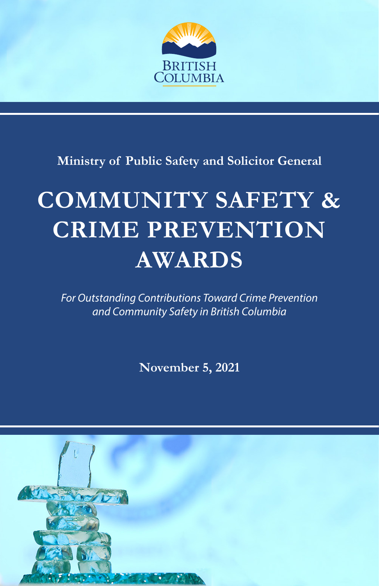

**Ministry of Public Safety and Solicitor General**

# **COMMUNITY SAFETY & CRIME PREVENTION AWARDS**

*For Outstanding Contributions Toward Crime Prevention and Community Safety in British Columbia*

**November 5, 2021**

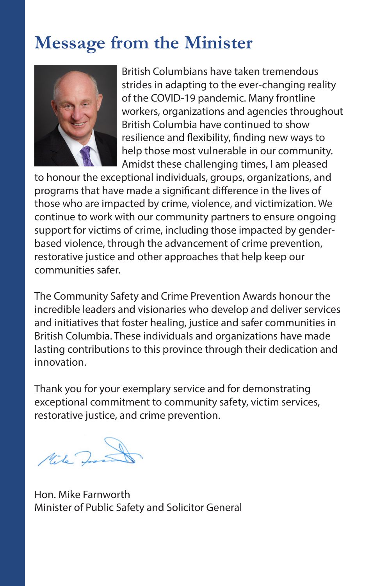### **Message from the Minister**



British Columbians have taken tremendous strides in adapting to the ever-changing reality of the COVID-19 pandemic. Many frontline workers, organizations and agencies throughout British Columbia have continued to show resilience and flexibility, finding new ways to help those most vulnerable in our community. Amidst these challenging times, I am pleased

to honour the exceptional individuals, groups, organizations, and programs that have made a significant difference in the lives of those who are impacted by crime, violence, and victimization. We continue to work with our community partners to ensure ongoing support for victims of crime, including those impacted by genderbased violence, through the advancement of crime prevention, restorative justice and other approaches that help keep our communities safer.

The Community Safety and Crime Prevention Awards honour the incredible leaders and visionaries who develop and deliver services and initiatives that foster healing, justice and safer communities in British Columbia. These individuals and organizations have made lasting contributions to this province through their dedication and innovation.

Thank you for your exemplary service and for demonstrating exceptional commitment to community safety, victim services, restorative justice, and crime prevention.

Mike In

Hon. Mike Farnworth Minister of Public Safety and Solicitor General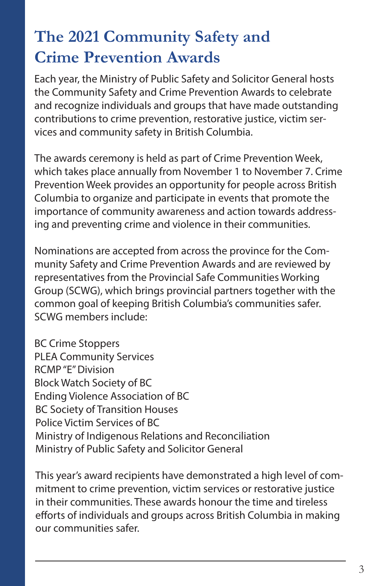## **The 2021 Community Safety and Crime Prevention Awards**

Each year, the Ministry of Public Safety and Solicitor General hosts the Community Safety and Crime Prevention Awards to celebrate and recognize individuals and groups that have made outstanding contributions to crime prevention, restorative justice, victim services and community safety in British Columbia.

The awards ceremony is held as part of Crime Prevention Week, which takes place annually from November 1 to November 7. Crime Prevention Week provides an opportunity for people across British Columbia to organize and participate in events that promote the importance of community awareness and action towards addressing and preventing crime and violence in their communities.

Nominations are accepted from across the province for the Community Safety and Crime Prevention Awards and are reviewed by representatives from the Provincial Safe Communities Working Group (SCWG), which brings provincial partners together with the common goal of keeping British Columbia's communities safer. SCWG members include:

BC Crime Stoppers PLEA Community Services RCMP "E" Division Block Watch Society of BC Ending Violence Association of BC BC Society of Transition Houses Police Victim Services of BC Ministry of Indigenous Relations and Reconciliation Ministry of Public Safety and Solicitor General

This year's award recipients have demonstrated a high level of commitment to crime prevention, victim services or restorative justice in their communities. These awards honour the time and tireless efforts of individuals and groups across British Columbia in making our communities safer.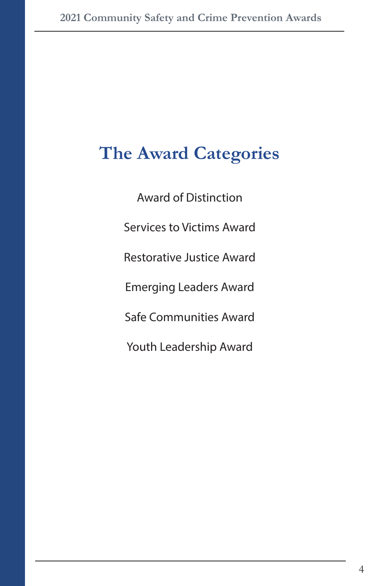# **The Award Categories**

Award of Distinction Services to Victims Award Restorative Justice Award Emerging Leaders Award Safe Communities Award Youth Leadership Award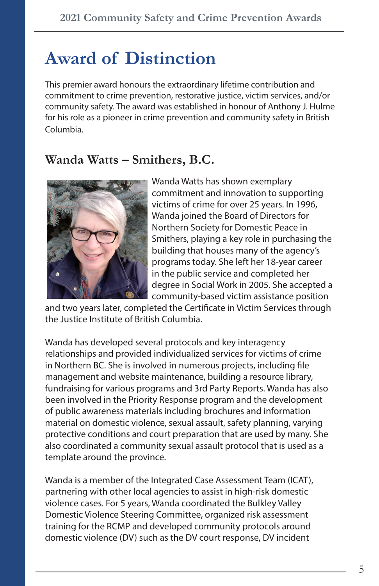# **Award of Distinction**

This premier award honours the extraordinary lifetime contribution and commitment to crime prevention, restorative justice, victim services, and/or community safety. The award was established in honour of Anthony J. Hulme for his role as a pioneer in crime prevention and community safety in British Columbia.

#### **Wanda Watts – Smithers, B.C.**



Wanda Watts has shown exemplary commitment and innovation to supporting victims of crime for over 25 years. In 1996, Wanda joined the Board of Directors for Northern Society for Domestic Peace in Smithers, playing a key role in purchasing the building that houses many of the agency's programs today. She left her 18-year career in the public service and completed her degree in Social Work in 2005. She accepted a community-based victim assistance position

and two years later, completed the Certificate in Victim Services through the Justice Institute of British Columbia.

Wanda has developed several protocols and key interagency relationships and provided individualized services for victims of crime in Northern BC. She is involved in numerous projects, including file management and website maintenance, building a resource library, fundraising for various programs and 3rd Party Reports. Wanda has also been involved in the Priority Response program and the development of public awareness materials including brochures and information material on domestic violence, sexual assault, safety planning, varying protective conditions and court preparation that are used by many. She also coordinated a community sexual assault protocol that is used as a template around the province.

Wanda is a member of the Integrated Case Assessment Team (ICAT), partnering with other local agencies to assist in high-risk domestic violence cases. For 5 years, Wanda coordinated the Bulkley Valley Domestic Violence Steering Committee, organized risk assessment training for the RCMP and developed community protocols around domestic violence (DV) such as the DV court response, DV incident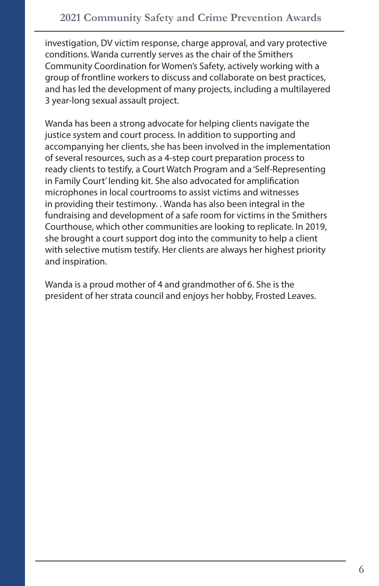investigation, DV victim response, charge approval, and vary protective conditions. Wanda currently serves as the chair of the Smithers Community Coordination for Women's Safety, actively working with a group of frontline workers to discuss and collaborate on best practices, and has led the development of many projects, including a multilayered 3 year-long sexual assault project.

Wanda has been a strong advocate for helping clients navigate the justice system and court process. In addition to supporting and accompanying her clients, she has been involved in the implementation of several resources, such as a 4-step court preparation process to ready clients to testify, a Court Watch Program and a 'Self-Representing in Family Court' lending kit. She also advocated for amplification microphones in local courtrooms to assist victims and witnesses in providing their testimony. . Wanda has also been integral in the fundraising and development of a safe room for victims in the Smithers Courthouse, which other communities are looking to replicate. In 2019, she brought a court support dog into the community to help a client with selective mutism testify. Her clients are always her highest priority and inspiration.

Wanda is a proud mother of 4 and grandmother of 6. She is the president of her strata council and enjoys her hobby, Frosted Leaves.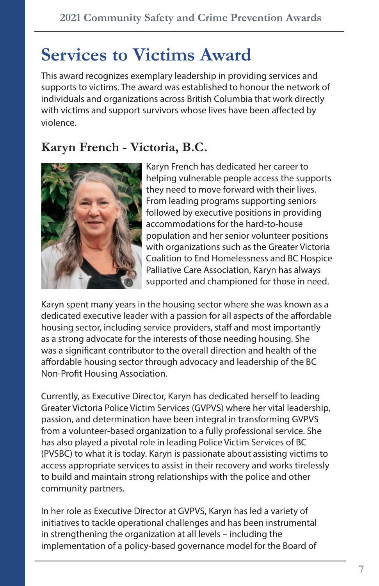### **Services to Victims Award**

This award recognizes exemplary leadership in providing services and supports to victims. The award was established to honour the network of individuals and organizations across British Columbia that work directly with victims and support survivors whose lives have been affected by violence.

### **Karyn French - Victoria, B.C.**



Karyn French has dedicated her career to helping vulnerable people access the supports they need to move forward with their lives. From leading programs supporting seniors followed by executive positions in providing accommodations for the hard-to-house population and her senior volunteer positions with organizations such as the Greater Victoria Coalition to End Homelessness and BC Hospice Palliative Care Association, Karyn has always supported and championed for those in need.

Karyn spent many years in the housing sector where she was known as a dedicated executive leader with a passion for all aspects of the affordable housing sector, including service providers, staff and most importantly as a strong advocate for the interests of those needing housing. She was a significant contributor to the overall direction and health of the affordable housing sector through advocacy and leadership of the BC Non-Profit Housing Association.

Currently, as Executive Director, Karyn has dedicated herself to leading Greater Victoria Police Victim Services (GVPVS) where her vital leadership, passion, and determination have been integral in transforming GVPVS from a volunteer-based organization to a fully professional service. She has also played a pivotal role in leading Police Victim Services of BC (PVSBC) to what it is today. Karyn is passionate about assisting victims to access appropriate services to assist in their recovery and works tirelessly to build and maintain strong relationships with the police and other community partners.

In her role as Executive Director at GVPVS, Karyn has led a variety of initiatives to tackle operational challenges and has been instrumental in strengthening the organization at all levels – including the implementation of a policy-based governance model for the Board of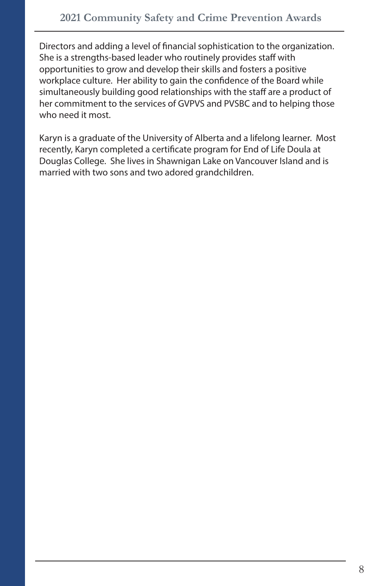Directors and adding a level of financial sophistication to the organization. She is a strengths-based leader who routinely provides staff with opportunities to grow and develop their skills and fosters a positive workplace culture. Her ability to gain the confidence of the Board while simultaneously building good relationships with the staff are a product of her commitment to the services of GVPVS and PVSBC and to helping those who need it most.

Karyn is a graduate of the University of Alberta and a lifelong learner. Most recently, Karyn completed a certificate program for End of Life Doula at Douglas College. She lives in Shawnigan Lake on Vancouver Island and is married with two sons and two adored grandchildren.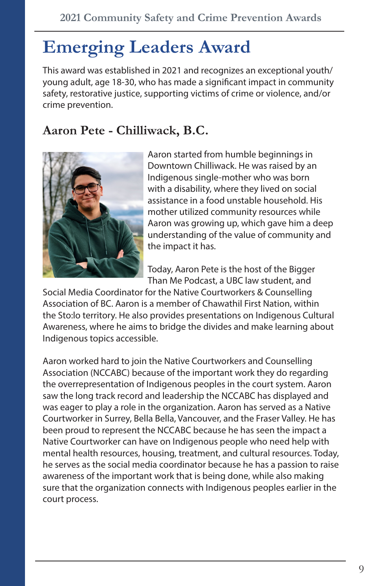# **Emerging Leaders Award**

This award was established in 2021 and recognizes an exceptional youth/ young adult, age 18-30, who has made a significant impact in community safety, restorative justice, supporting victims of crime or violence, and/or crime prevention.

#### **Aaron Pete - Chilliwack, B.C.**



Aaron started from humble beginnings in Downtown Chilliwack. He was raised by an Indigenous single-mother who was born with a disability, where they lived on social assistance in a food unstable household. His mother utilized community resources while Aaron was growing up, which gave him a deep understanding of the value of community and the impact it has.

Today, Aaron Pete is the host of the Bigger Than Me Podcast, a UBC law student, and

Social Media Coordinator for the Native Courtworkers & Counselling Association of BC. Aaron is a member of Chawathil First Nation, within the Sto:lo territory. He also provides presentations on Indigenous Cultural Awareness, where he aims to bridge the divides and make learning about Indigenous topics accessible.

Aaron worked hard to join the Native Courtworkers and Counselling Association (NCCABC) because of the important work they do regarding the overrepresentation of Indigenous peoples in the court system. Aaron saw the long track record and leadership the NCCABC has displayed and was eager to play a role in the organization. Aaron has served as a Native Courtworker in Surrey, Bella Bella, Vancouver, and the Fraser Valley. He has been proud to represent the NCCABC because he has seen the impact a Native Courtworker can have on Indigenous people who need help with mental health resources, housing, treatment, and cultural resources. Today, he serves as the social media coordinator because he has a passion to raise awareness of the important work that is being done, while also making sure that the organization connects with Indigenous peoples earlier in the court process.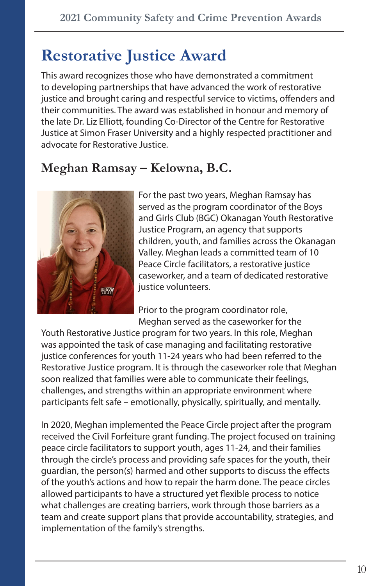### **Restorative Justice Award**

This award recognizes those who have demonstrated a commitment to developing partnerships that have advanced the work of restorative justice and brought caring and respectful service to victims, offenders and their communities. The award was established in honour and memory of the late Dr. Liz Elliott, founding Co-Director of the Centre for Restorative Justice at Simon Fraser University and a highly respected practitioner and advocate for Restorative Justice.

### **Meghan Ramsay – Kelowna, B.C.**



For the past two years, Meghan Ramsay has served as the program coordinator of the Boys and Girls Club (BGC) Okanagan Youth Restorative Justice Program, an agency that supports children, youth, and families across the Okanagan Valley. Meghan leads a committed team of 10 Peace Circle facilitators, a restorative justice caseworker, and a team of dedicated restorative justice volunteers.

Prior to the program coordinator role, Meghan served as the caseworker for the

Youth Restorative Justice program for two years. In this role, Meghan was appointed the task of case managing and facilitating restorative justice conferences for youth 11-24 years who had been referred to the Restorative Justice program. It is through the caseworker role that Meghan soon realized that families were able to communicate their feelings, challenges, and strengths within an appropriate environment where participants felt safe – emotionally, physically, spiritually, and mentally.

In 2020, Meghan implemented the Peace Circle project after the program received the Civil Forfeiture grant funding. The project focused on training peace circle facilitators to support youth, ages 11-24, and their families through the circle's process and providing safe spaces for the youth, their guardian, the person(s) harmed and other supports to discuss the effects of the youth's actions and how to repair the harm done. The peace circles allowed participants to have a structured yet flexible process to notice what challenges are creating barriers, work through those barriers as a team and create support plans that provide accountability, strategies, and implementation of the family's strengths.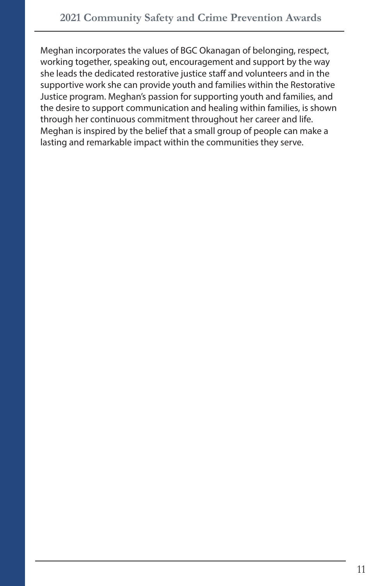Meghan incorporates the values of BGC Okanagan of belonging, respect, working together, speaking out, encouragement and support by the way she leads the dedicated restorative justice staff and volunteers and in the supportive work she can provide youth and families within the Restorative Justice program. Meghan's passion for supporting youth and families, and the desire to support communication and healing within families, is shown through her continuous commitment throughout her career and life. Meghan is inspired by the belief that a small group of people can make a lasting and remarkable impact within the communities they serve.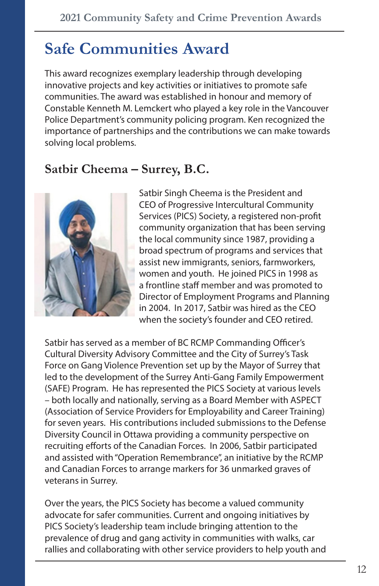### **Safe Communities Award**

This award recognizes exemplary leadership through developing innovative projects and key activities or initiatives to promote safe communities. The award was established in honour and memory of Constable Kenneth M. Lemckert who played a key role in the Vancouver Police Department's community policing program. Ken recognized the importance of partnerships and the contributions we can make towards solving local problems.

#### **Satbir Cheema – Surrey, B.C.**



Satbir Singh Cheema is the President and CEO of Progressive Intercultural Community Services (PICS) Society, a registered non-profit community organization that has been serving the local community since 1987, providing a broad spectrum of programs and services that assist new immigrants, seniors, farmworkers, women and youth. He joined PICS in 1998 as a frontline staff member and was promoted to Director of Employment Programs and Planning in 2004. In 2017, Satbir was hired as the CEO when the society's founder and CEO retired.

Satbir has served as a member of BC RCMP Commanding Officer's Cultural Diversity Advisory Committee and the City of Surrey's Task Force on Gang Violence Prevention set up by the Mayor of Surrey that led to the development of the Surrey Anti-Gang Family Empowerment (SAFE) Program. He has represented the PICS Society at various levels – both locally and nationally, serving as a Board Member with ASPECT (Association of Service Providers for Employability and Career Training) for seven years. His contributions included submissions to the Defense Diversity Council in Ottawa providing a community perspective on recruiting efforts of the Canadian Forces. In 2006, Satbir participated and assisted with "Operation Remembrance", an initiative by the RCMP and Canadian Forces to arrange markers for 36 unmarked graves of veterans in Surrey.

Over the years, the PICS Society has become a valued community advocate for safer communities. Current and ongoing initiatives by PICS Society's leadership team include bringing attention to the prevalence of drug and gang activity in communities with walks, car rallies and collaborating with other service providers to help youth and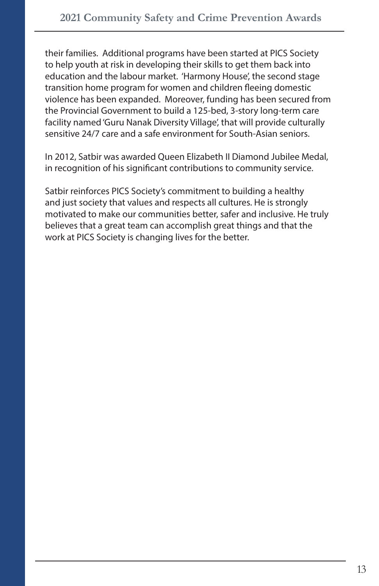their families. Additional programs have been started at PICS Society to help youth at risk in developing their skills to get them back into education and the labour market. 'Harmony House', the second stage transition home program for women and children fleeing domestic violence has been expanded. Moreover, funding has been secured from the Provincial Government to build a 125-bed, 3-story long-term care facility named 'Guru Nanak Diversity Village', that will provide culturally sensitive 24/7 care and a safe environment for South-Asian seniors.

In 2012, Satbir was awarded Queen Elizabeth II Diamond Jubilee Medal, in recognition of his significant contributions to community service.

Satbir reinforces PICS Society's commitment to building a healthy and just society that values and respects all cultures. He is strongly motivated to make our communities better, safer and inclusive. He truly believes that a great team can accomplish great things and that the work at PICS Society is changing lives for the better.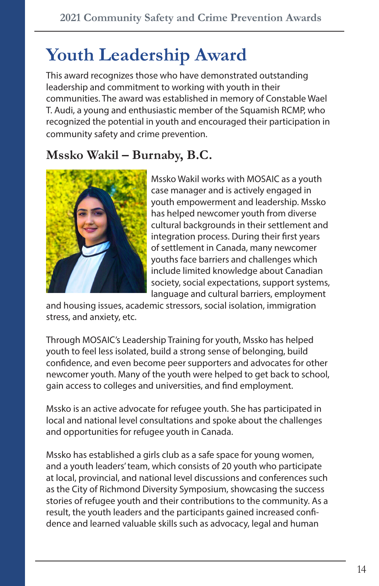### **Youth Leadership Award**

This award recognizes those who have demonstrated outstanding leadership and commitment to working with youth in their communities. The award was established in memory of Constable Wael T. Audi, a young and enthusiastic member of the Squamish RCMP, who recognized the potential in youth and encouraged their participation in community safety and crime prevention.

#### **Mssko Wakil – Burnaby, B.C.**



Mssko Wakil works with MOSAIC as a youth case manager and is actively engaged in youth empowerment and leadership. Mssko has helped newcomer youth from diverse cultural backgrounds in their settlement and integration process. During their first years of settlement in Canada, many newcomer youths face barriers and challenges which include limited knowledge about Canadian society, social expectations, support systems, language and cultural barriers, employment

and housing issues, academic stressors, social isolation, immigration stress, and anxiety, etc.

Through MOSAIC's Leadership Training for youth, Mssko has helped youth to feel less isolated, build a strong sense of belonging, build confidence, and even become peer supporters and advocates for other newcomer youth. Many of the youth were helped to get back to school, gain access to colleges and universities, and find employment.

Mssko is an active advocate for refugee youth. She has participated in local and national level consultations and spoke about the challenges and opportunities for refugee youth in Canada.

Mssko has established a girls club as a safe space for young women, and a youth leaders' team, which consists of 20 youth who participate at local, provincial, and national level discussions and conferences such as the City of Richmond Diversity Symposium, showcasing the success stories of refugee youth and their contributions to the community. As a result, the youth leaders and the participants gained increased confidence and learned valuable skills such as advocacy, legal and human